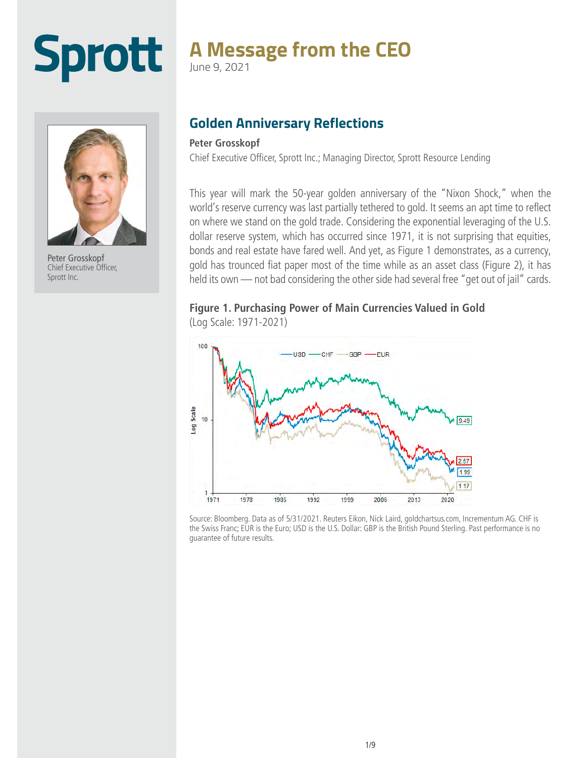# **Sprott**

## **A Message from the CEO**

June 9, 2021



Peter Grosskopf Chief Executive Officer, Sprott Inc.

### **Golden Anniversary Reflections**

#### **Peter Grosskopf**

Chief Executive Officer, Sprott Inc.; Managing Director, Sprott Resource Lending

This year will mark the 50-year golden anniversary of the "Nixon Shock," when the world's reserve currency was last partially tethered to gold. It seems an apt time to reflect on where we stand on the gold trade. Considering the exponential leveraging of the U.S. dollar reserve system, which has occurred since 1971, it is not surprising that equities, bonds and real estate have fared well. And yet, as Figure 1 demonstrates, as a currency, gold has trounced fiat paper most of the time while as an asset class (Figure 2), it has held its own — not bad considering the other side had several free "get out of jail" cards.

### **Figure 1. Purchasing Power of Main Currencies Valued in Gold**  (Log Scale: 1971-2021)



Source: Bloomberg. Data as of 5/31/2021. Reuters Eikon, Nick Laird, goldchartsus.com, Incrementum AG. CHF is the Swiss Franc; EUR is the Euro; USD is the U.S. Dollar: GBP is the British Pound Sterling. Past performance is no guarantee of future results.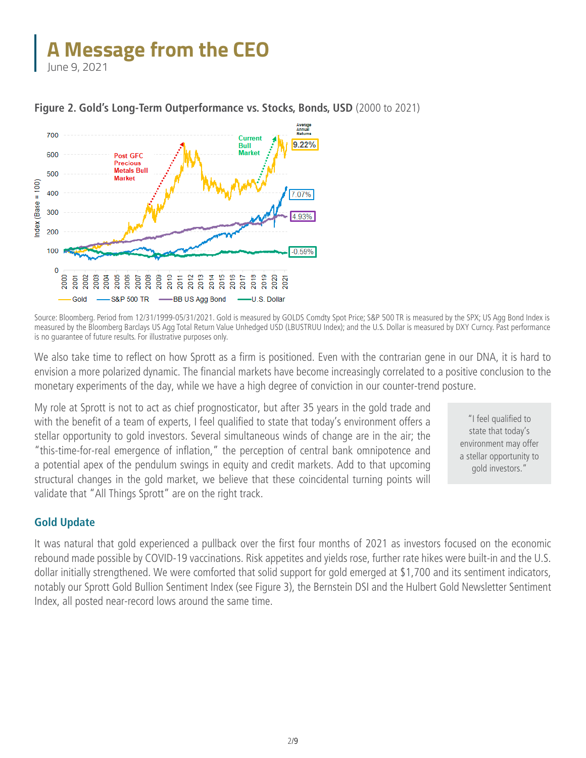June 9, 2021



#### **Figure 2. Gold's Long-Term Outperformance vs. Stocks, Bonds, USD** (2000 to 2021)

Source: Bloomberg. Period from 12/31/1999-05/31/2021. Gold is measured by GOLDS Comdty Spot Price; S&P 500 TR is measured by the SPX; US Agg Bond Index is measured by the Bloomberg Barclays US Agg Total Return Value Unhedged USD (LBUSTRUU Index); and the U.S. Dollar is measured by DXY Curncy. Past performance is no guarantee of future results. For illustrative purposes only.

We also take time to reflect on how Sprott as a firm is positioned. Even with the contrarian gene in our DNA, it is hard to envision a more polarized dynamic. The financial markets have become increasingly correlated to a positive conclusion to the monetary experiments of the day, while we have a high degree of conviction in our counter-trend posture.

My role at Sprott is not to act as chief prognosticator, but after 35 years in the gold trade and with the benefit of a team of experts, I feel qualified to state that today's environment offers a stellar opportunity to gold investors. Several simultaneous winds of change are in the air; the "this-time-for-real emergence of inflation," the perception of central bank omnipotence and a potential apex of the pendulum swings in equity and credit markets. Add to that upcoming structural changes in the gold market, we believe that these coincidental turning points will validate that "All Things Sprott" are on the right track.

"I feel qualified to state that today's environment may offer a stellar opportunity to gold investors."

#### **Gold Update**

It was natural that gold experienced a pullback over the first four months of 2021 as investors focused on the economic rebound made possible by COVID-19 vaccinations. Risk appetites and yields rose, further rate hikes were built-in and the U.S. dollar initially strengthened. We were comforted that solid support for gold emerged at \$1,700 and its sentiment indicators, notably our Sprott Gold Bullion Sentiment Index (see Figure 3), the Bernstein DSI and the Hulbert Gold Newsletter Sentiment Index, all posted near-record lows around the same time.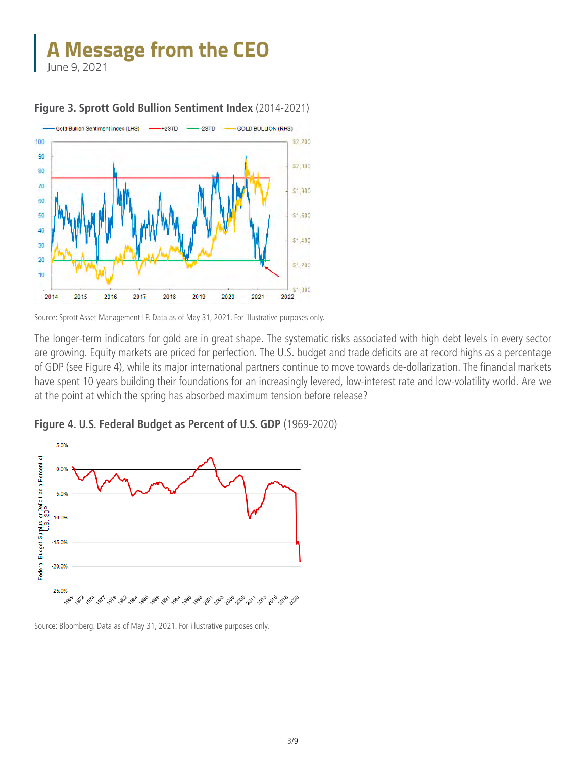June 9, 2021



#### **Figure 3. Sprott Gold Bullion Sentiment Index** (2014-2021)

Source: Sprott Asset Management LP. Data as of May 31, 2021. For illustrative purposes only.

The longer-term indicators for gold are in great shape. The systematic risks associated with high debt levels in every sector are growing. Equity markets are priced for perfection. The U.S. budget and trade deficits are at record highs as a percentage of GDP (see Figure 4), while its major international partners continue to move towards de-dollarization. The financial markets have spent 10 years building their foundations for an increasingly levered, low-interest rate and low-volatility world. Are we at the point at which the spring has absorbed maximum tension before release?



**Figure 4. U.S. Federal Budget as Percent of U.S. GDP** (1969-2020)

Source: Bloomberg. Data as of May 31, 2021. For illustrative purposes only.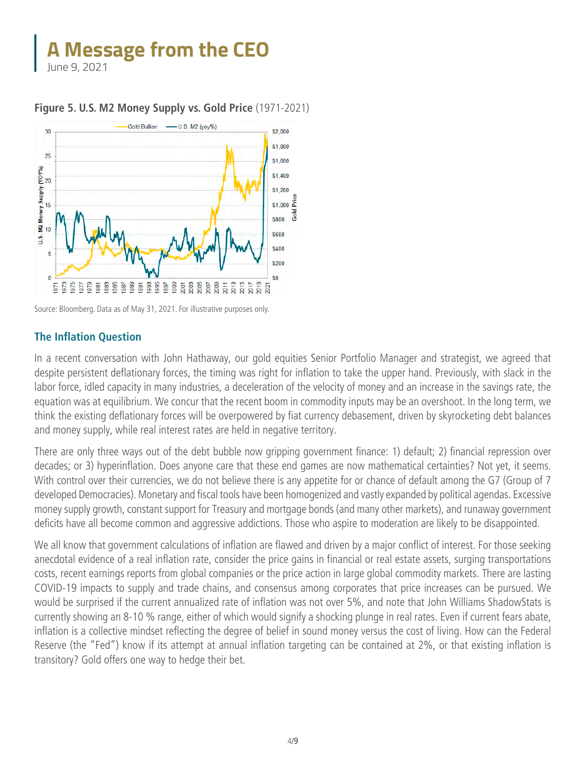June 9, 2021



#### **Figure 5. U.S. M2 Money Supply vs. Gold Price** (1971-2021)

#### **The Inflation Question**

In a recent conversation with John Hathaway, our gold equities Senior Portfolio Manager and strategist, we agreed that despite persistent deflationary forces, the timing was right for inflation to take the upper hand. Previously, with slack in the labor force, idled capacity in many industries, a deceleration of the velocity of money and an increase in the savings rate, the equation was at equilibrium. We concur that the recent boom in commodity inputs may be an overshoot. In the long term, we think the existing deflationary forces will be overpowered by fiat currency debasement, driven by skyrocketing debt balances and money supply, while real interest rates are held in negative territory.

There are only three ways out of the debt bubble now gripping government finance: 1) default; 2) financial repression over decades; or 3) hyperinflation. Does anyone care that these end games are now mathematical certainties? Not yet, it seems. With control over their currencies, we do not believe there is any appetite for or chance of default among the G7 (Group of 7 developed Democracies). Monetary and fiscal tools have been homogenized and vastly expanded by political agendas. Excessive money supply growth, constant support for Treasury and mortgage bonds (and many other markets), and runaway government deficits have all become common and aggressive addictions. Those who aspire to moderation are likely to be disappointed.

We all know that government calculations of inflation are flawed and driven by a major conflict of interest. For those seeking anecdotal evidence of a real inflation rate, consider the price gains in financial or real estate assets, surging transportations costs, recent earnings reports from global companies or the price action in large global commodity markets. There are lasting COVID-19 impacts to supply and trade chains, and consensus among corporates that price increases can be pursued. We would be surprised if the current annualized rate of inflation was not over 5%, and note that John Williams ShadowStats is currently showing an 8-10 % range, either of which would signify a shocking plunge in real rates. Even if current fears abate, inflation is a collective mindset reflecting the degree of belief in sound money versus the cost of living. How can the Federal Reserve (the "Fed") know if its attempt at annual inflation targeting can be contained at 2%, or that existing inflation is transitory? Gold offers one way to hedge their bet.

Source: Bloomberg. Data as of May 31, 2021. For illustrative purposes only.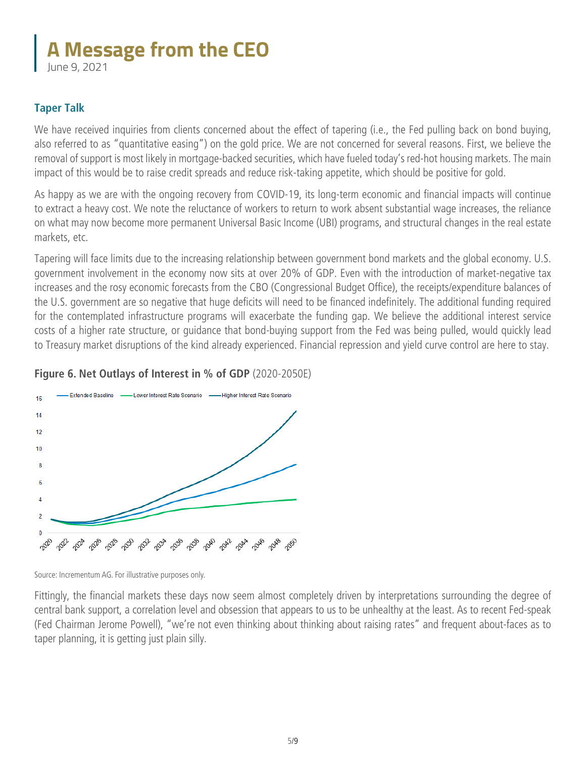June 9, 2021

### **Taper Talk**

We have received inquiries from clients concerned about the effect of tapering (i.e., the Fed pulling back on bond buying, also referred to as "quantitative easing") on the gold price. We are not concerned for several reasons. First, we believe the removal of support is most likely in mortgage-backed securities, which have fueled today's red-hot housing markets. The main impact of this would be to raise credit spreads and reduce risk-taking appetite, which should be positive for gold.

As happy as we are with the ongoing recovery from COVID-19, its long-term economic and financial impacts will continue to extract a heavy cost. We note the reluctance of workers to return to work absent substantial wage increases, the reliance on what may now become more permanent Universal Basic Income (UBI) programs, and structural changes in the real estate markets, etc.

Tapering will face limits due to the increasing relationship between government bond markets and the global economy. U.S. government involvement in the economy now sits at over 20% of GDP. Even with the introduction of market-negative tax increases and the rosy economic forecasts from the CBO (Congressional Budget Office), the receipts/expenditure balances of the U.S. government are so negative that huge deficits will need to be financed indefinitely. The additional funding required for the contemplated infrastructure programs will exacerbate the funding gap. We believe the additional interest service costs of a higher rate structure, or guidance that bond-buying support from the Fed was being pulled, would quickly lead to Treasury market disruptions of the kind already experienced. Financial repression and yield curve control are here to stay.

### **Figure 6. Net Outlays of Interest in % of GDP** (2020-2050E)



Source: Incrementum AG. For illustrative purposes only.

Fittingly, the financial markets these days now seem almost completely driven by interpretations surrounding the degree of central bank support, a correlation level and obsession that appears to us to be unhealthy at the least. As to recent Fed-speak (Fed Chairman Jerome Powell), "we're not even thinking about thinking about raising rates" and frequent about-faces as to taper planning, it is getting just plain silly.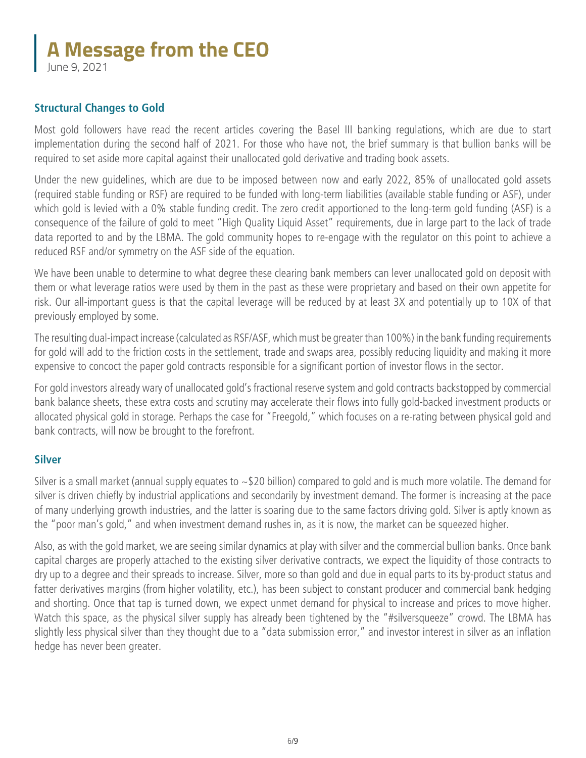June 9, 2021

### **Structural Changes to Gold**

Most gold followers have read the recent articles covering the Basel III banking regulations, which are due to start implementation during the second half of 2021. For those who have not, the brief summary is that bullion banks will be required to set aside more capital against their unallocated gold derivative and trading book assets.

Under the new guidelines, which are due to be imposed between now and early 2022, 85% of unallocated gold assets (required stable funding or RSF) are required to be funded with long-term liabilities (available stable funding or ASF), under which gold is levied with a 0% stable funding credit. The zero credit apportioned to the long-term gold funding (ASF) is a consequence of the failure of gold to meet "High Quality Liquid Asset" requirements, due in large part to the lack of trade data reported to and by the LBMA. The gold community hopes to re-engage with the regulator on this point to achieve a reduced RSF and/or symmetry on the ASF side of the equation.

We have been unable to determine to what degree these clearing bank members can lever unallocated gold on deposit with them or what leverage ratios were used by them in the past as these were proprietary and based on their own appetite for risk. Our all-important guess is that the capital leverage will be reduced by at least 3X and potentially up to 10X of that previously employed by some.

The resulting dual-impact increase (calculated as RSF/ASF, which must be greater than 100%) in the bank funding requirements for gold will add to the friction costs in the settlement, trade and swaps area, possibly reducing liquidity and making it more expensive to concoct the paper gold contracts responsible for a significant portion of investor flows in the sector.

For gold investors already wary of unallocated gold's fractional reserve system and gold contracts backstopped by commercial bank balance sheets, these extra costs and scrutiny may accelerate their flows into fully gold-backed investment products or allocated physical gold in storage. Perhaps the case for "Freegold," which focuses on a re-rating between physical gold and bank contracts, will now be brought to the forefront.

#### **Silver**

Silver is a small market (annual supply equates to ~\$20 billion) compared to gold and is much more volatile. The demand for silver is driven chiefly by industrial applications and secondarily by investment demand. The former is increasing at the pace of many underlying growth industries, and the latter is soaring due to the same factors driving gold. Silver is aptly known as the "poor man's gold," and when investment demand rushes in, as it is now, the market can be squeezed higher.

Also, as with the gold market, we are seeing similar dynamics at play with silver and the commercial bullion banks. Once bank capital charges are properly attached to the existing silver derivative contracts, we expect the liquidity of those contracts to dry up to a degree and their spreads to increase. Silver, more so than gold and due in equal parts to its by-product status and fatter derivatives margins (from higher volatility, etc.), has been subject to constant producer and commercial bank hedging and shorting. Once that tap is turned down, we expect unmet demand for physical to increase and prices to move higher. Watch this space, as the physical silver supply has already been tightened by the "#silversqueeze" crowd. The LBMA has slightly less physical silver than they thought due to a "data submission error," and investor interest in silver as an inflation hedge has never been greater.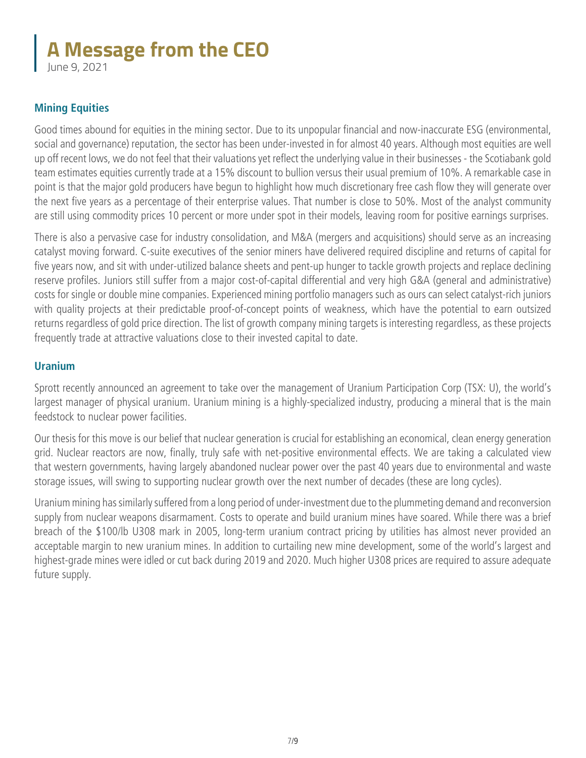June 9, 2021

### **Mining Equities**

Good times abound for equities in the mining sector. Due to its unpopular financial and now-inaccurate ESG (environmental, social and governance) reputation, the sector has been under-invested in for almost 40 years. Although most equities are well up off recent lows, we do not feel that their valuations yet reflect the underlying value in their businesses - the Scotiabank gold team estimates equities currently trade at a 15% discount to bullion versus their usual premium of 10%. A remarkable case in point is that the major gold producers have begun to highlight how much discretionary free cash flow they will generate over the next five years as a percentage of their enterprise values. That number is close to 50%. Most of the analyst community are still using commodity prices 10 percent or more under spot in their models, leaving room for positive earnings surprises.

There is also a pervasive case for industry consolidation, and M&A (mergers and acquisitions) should serve as an increasing catalyst moving forward. C-suite executives of the senior miners have delivered required discipline and returns of capital for five years now, and sit with under-utilized balance sheets and pent-up hunger to tackle growth projects and replace declining reserve profiles. Juniors still suffer from a major cost-of-capital differential and very high G&A (general and administrative) costs for single or double mine companies. Experienced mining portfolio managers such as ours can select catalyst-rich juniors with quality projects at their predictable proof-of-concept points of weakness, which have the potential to earn outsized returns regardless of gold price direction. The list of growth company mining targets is interesting regardless, as these projects frequently trade at attractive valuations close to their invested capital to date.

### **Uranium**

Sprott recently announced an agreement to take over the management of Uranium Participation Corp (TSX: U), the world's largest manager of physical uranium. Uranium mining is a highly-specialized industry, producing a mineral that is the main feedstock to nuclear power facilities.

Our thesis for this move is our belief that nuclear generation is crucial for establishing an economical, clean energy generation grid. Nuclear reactors are now, finally, truly safe with net-positive environmental effects. We are taking a calculated view that western governments, having largely abandoned nuclear power over the past 40 years due to environmental and waste storage issues, will swing to supporting nuclear growth over the next number of decades (these are long cycles).

Uranium mining has similarly suffered from a long period of under-investment due to the plummeting demand and reconversion supply from nuclear weapons disarmament. Costs to operate and build uranium mines have soared. While there was a brief breach of the \$100/lb U308 mark in 2005, long-term uranium contract pricing by utilities has almost never provided an acceptable margin to new uranium mines. In addition to curtailing new mine development, some of the world's largest and highest-grade mines were idled or cut back during 2019 and 2020. Much higher U308 prices are required to assure adequate future supply.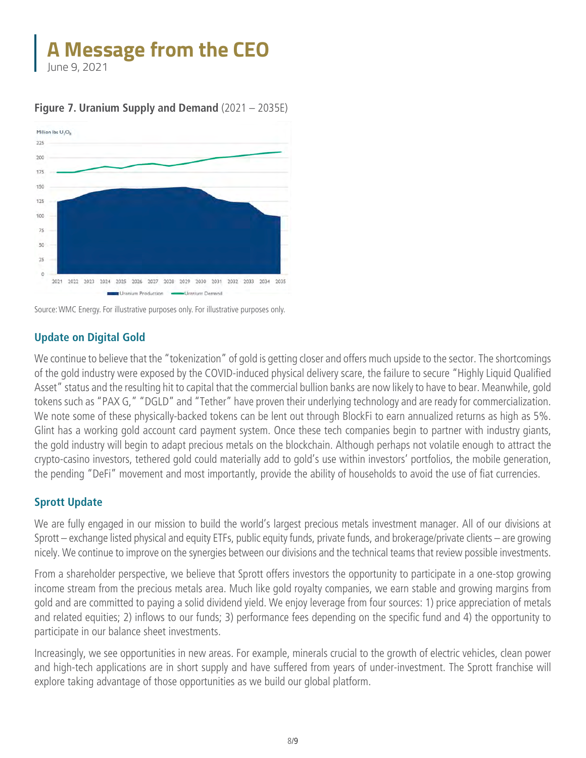June 9, 2021



### **Figure 7. Uranium Supply and Demand** (2021 – 2035E)

### **Update on Digital Gold**

We continue to believe that the "tokenization" of gold is getting closer and offers much upside to the sector. The shortcomings of the gold industry were exposed by the COVID-induced physical delivery scare, the failure to secure "Highly Liquid Qualified Asset" status and the resulting hit to capital that the commercial bullion banks are now likely to have to bear. Meanwhile, gold tokens such as "PAX G," "DGLD" and "Tether" have proven their underlying technology and are ready for commercialization. We note some of these physically-backed tokens can be lent out through BlockFi to earn annualized returns as high as 5%. Glint has a working gold account card payment system. Once these tech companies begin to partner with industry giants, the gold industry will begin to adapt precious metals on the blockchain. Although perhaps not volatile enough to attract the crypto-casino investors, tethered gold could materially add to gold's use within investors' portfolios, the mobile generation, the pending "DeFi" movement and most importantly, provide the ability of households to avoid the use of fiat currencies.

### **Sprott Update**

We are fully engaged in our mission to build the world's largest precious metals investment manager. All of our divisions at Sprott – exchange listed physical and equity ETFs, public equity funds, private funds, and brokerage/private clients – are growing nicely. We continue to improve on the synergies between our divisions and the technical teams that review possible investments.

From a shareholder perspective, we believe that Sprott offers investors the opportunity to participate in a one-stop growing income stream from the precious metals area. Much like gold royalty companies, we earn stable and growing margins from gold and are committed to paying a solid dividend yield. We enjoy leverage from four sources: 1) price appreciation of metals and related equities; 2) inflows to our funds; 3) performance fees depending on the specific fund and 4) the opportunity to participate in our balance sheet investments.

Increasingly, we see opportunities in new areas. For example, minerals crucial to the growth of electric vehicles, clean power and high-tech applications are in short supply and have suffered from years of under-investment. The Sprott franchise will explore taking advantage of those opportunities as we build our global platform.

Source: WMC Energy. For illustrative purposes only. For illustrative purposes only.